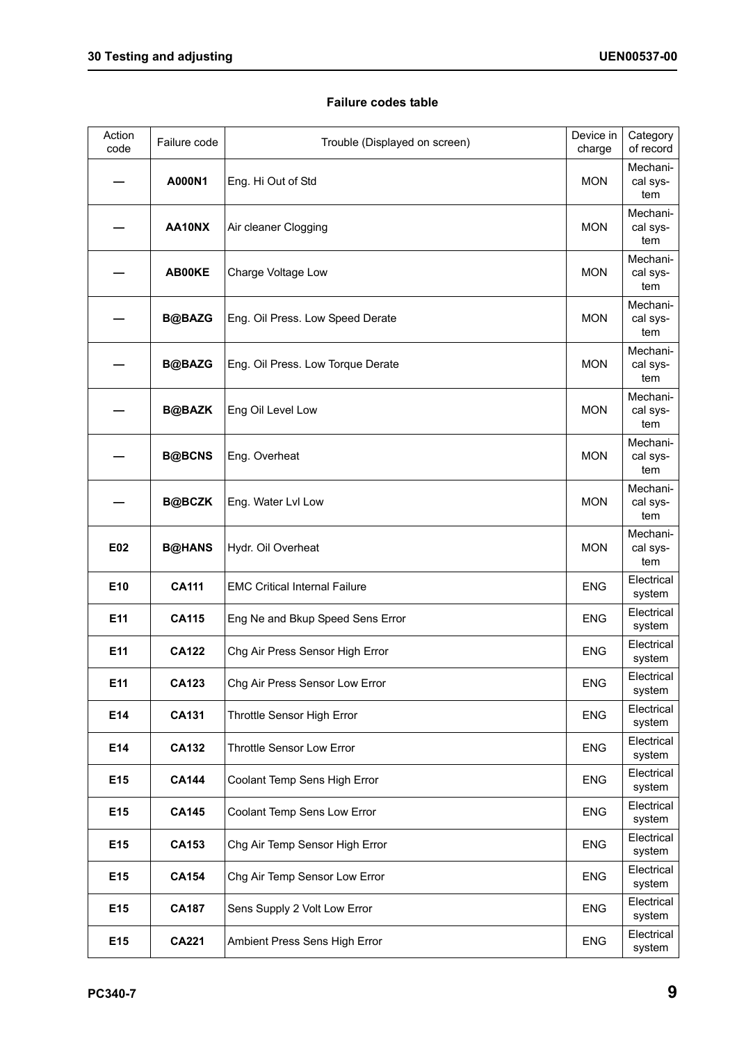## **Failure codes table**

| Action<br>code  | Failure code  | Trouble (Displayed on screen)        | Device in<br>charge | Category<br>of record       |
|-----------------|---------------|--------------------------------------|---------------------|-----------------------------|
|                 | A000N1        | Eng. Hi Out of Std                   | <b>MON</b>          | Mechani-<br>cal sys-<br>tem |
|                 | AA10NX        | Air cleaner Clogging                 | <b>MON</b>          | Mechani-<br>cal sys-<br>tem |
|                 | <b>AB00KE</b> | Charge Voltage Low                   | <b>MON</b>          | Mechani-<br>cal sys-<br>tem |
|                 | <b>B@BAZG</b> | Eng. Oil Press. Low Speed Derate     | <b>MON</b>          | Mechani-<br>cal sys-<br>tem |
|                 | <b>B@BAZG</b> | Eng. Oil Press. Low Torque Derate    | <b>MON</b>          | Mechani-<br>cal sys-<br>tem |
|                 | <b>B@BAZK</b> | Eng Oil Level Low                    | <b>MON</b>          | Mechani-<br>cal sys-<br>tem |
|                 | <b>B@BCNS</b> | Eng. Overheat                        | <b>MON</b>          | Mechani-<br>cal sys-<br>tem |
|                 | <b>B@BCZK</b> | Eng. Water Lvl Low                   | <b>MON</b>          | Mechani-<br>cal sys-<br>tem |
| E02             | <b>B@HANS</b> | Hydr. Oil Overheat                   | <b>MON</b>          | Mechani-<br>cal sys-<br>tem |
| E10             | <b>CA111</b>  | <b>EMC Critical Internal Failure</b> | <b>ENG</b>          | Electrical<br>system        |
| E <sub>11</sub> | <b>CA115</b>  | Eng Ne and Bkup Speed Sens Error     | <b>ENG</b>          | Electrical<br>system        |
| E11             | <b>CA122</b>  | Chg Air Press Sensor High Error      | <b>ENG</b>          | Electrical<br>system        |
| E11             | <b>CA123</b>  | Chg Air Press Sensor Low Error       | <b>ENG</b>          | Electrical<br>system        |
| E14             | <b>CA131</b>  | Throttle Sensor High Error           | <b>ENG</b>          | Electrical<br>system        |
| E14             | <b>CA132</b>  | <b>Throttle Sensor Low Error</b>     | <b>ENG</b>          | Electrical<br>system        |
| E15             | <b>CA144</b>  | Coolant Temp Sens High Error         | <b>ENG</b>          | Electrical<br>system        |
| E <sub>15</sub> | <b>CA145</b>  | Coolant Temp Sens Low Error          | <b>ENG</b>          | Electrical<br>system        |
| E15             | <b>CA153</b>  | Chg Air Temp Sensor High Error       | <b>ENG</b>          | Electrical<br>system        |
| E15             | <b>CA154</b>  | Chg Air Temp Sensor Low Error        | <b>ENG</b>          | Electrical<br>system        |
| E <sub>15</sub> | <b>CA187</b>  | Sens Supply 2 Volt Low Error         | <b>ENG</b>          | Electrical<br>system        |
| E15             | <b>CA221</b>  | Ambient Press Sens High Error        | <b>ENG</b>          | Electrical<br>system        |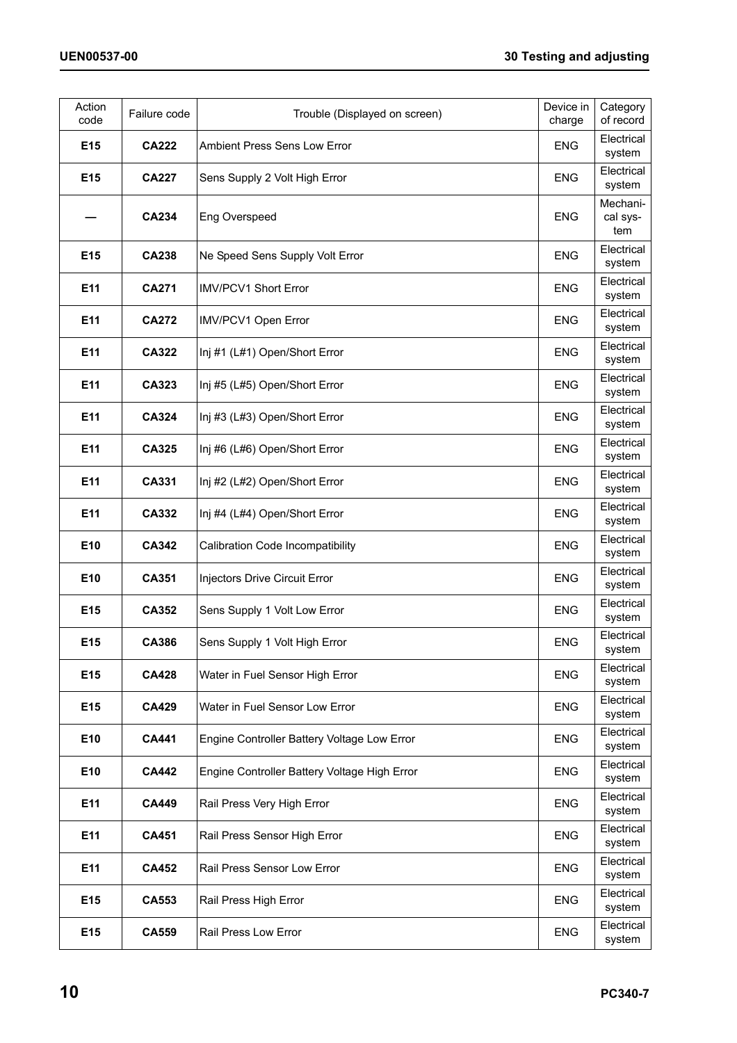| Action<br>code  | Failure code | Trouble (Displayed on screen)                | Device in<br>charge | Category<br>of record       |
|-----------------|--------------|----------------------------------------------|---------------------|-----------------------------|
| E <sub>15</sub> | <b>CA222</b> | Ambient Press Sens Low Error                 | <b>ENG</b>          | Electrical<br>system        |
| E <sub>15</sub> | <b>CA227</b> | Sens Supply 2 Volt High Error                | <b>ENG</b>          | Electrical<br>system        |
|                 | <b>CA234</b> | Eng Overspeed                                | <b>ENG</b>          | Mechani-<br>cal sys-<br>tem |
| E15             | <b>CA238</b> | Ne Speed Sens Supply Volt Error              | <b>ENG</b>          | Electrical<br>system        |
| E <sub>11</sub> | <b>CA271</b> | <b>IMV/PCV1 Short Error</b>                  | <b>ENG</b>          | Electrical<br>system        |
| E11             | <b>CA272</b> | IMV/PCV1 Open Error                          | <b>ENG</b>          | Electrical<br>system        |
| E <sub>11</sub> | CA322        | Inj #1 (L#1) Open/Short Error                | <b>ENG</b>          | Electrical<br>system        |
| E11             | CA323        | Inj #5 (L#5) Open/Short Error                | <b>ENG</b>          | Electrical<br>system        |
| E <sub>11</sub> | CA324        | Inj #3 (L#3) Open/Short Error                | <b>ENG</b>          | Electrical<br>system        |
| E <sub>11</sub> | <b>CA325</b> | Inj #6 (L#6) Open/Short Error                | <b>ENG</b>          | Electrical<br>system        |
| E <sub>11</sub> | CA331        | Inj #2 (L#2) Open/Short Error                | ENG                 | Electrical<br>system        |
| E11             | CA332        | Inj #4 (L#4) Open/Short Error                | <b>ENG</b>          | Electrical<br>system        |
| E <sub>10</sub> | CA342        | Calibration Code Incompatibility             | <b>ENG</b>          | Electrical<br>system        |
| E <sub>10</sub> | CA351        | Injectors Drive Circuit Error                | <b>ENG</b>          | Electrical<br>system        |
| E <sub>15</sub> | CA352        | Sens Supply 1 Volt Low Error                 | <b>ENG</b>          | Electrical<br>system        |
| E <sub>15</sub> | <b>CA386</b> | Sens Supply 1 Volt High Error                | <b>ENG</b>          | Electrical<br>system        |
| E <sub>15</sub> | <b>CA428</b> | Water in Fuel Sensor High Error              | <b>ENG</b>          | Electrical<br>system        |
| E <sub>15</sub> | <b>CA429</b> | Water in Fuel Sensor Low Error               | <b>ENG</b>          | Electrical<br>system        |
| E <sub>10</sub> | <b>CA441</b> | Engine Controller Battery Voltage Low Error  | <b>ENG</b>          | Electrical<br>system        |
| E <sub>10</sub> | <b>CA442</b> | Engine Controller Battery Voltage High Error | <b>ENG</b>          | Electrical<br>system        |
| E11             | <b>CA449</b> | Rail Press Very High Error                   | <b>ENG</b>          | Electrical<br>system        |
| E11             | CA451        | Rail Press Sensor High Error                 | <b>ENG</b>          | Electrical<br>system        |
| E11             | <b>CA452</b> | Rail Press Sensor Low Error                  | <b>ENG</b>          | Electrical<br>system        |
| E <sub>15</sub> | CA553        | Rail Press High Error                        | <b>ENG</b>          | Electrical<br>system        |
| E <sub>15</sub> | <b>CA559</b> | Rail Press Low Error                         | <b>ENG</b>          | Electrical<br>system        |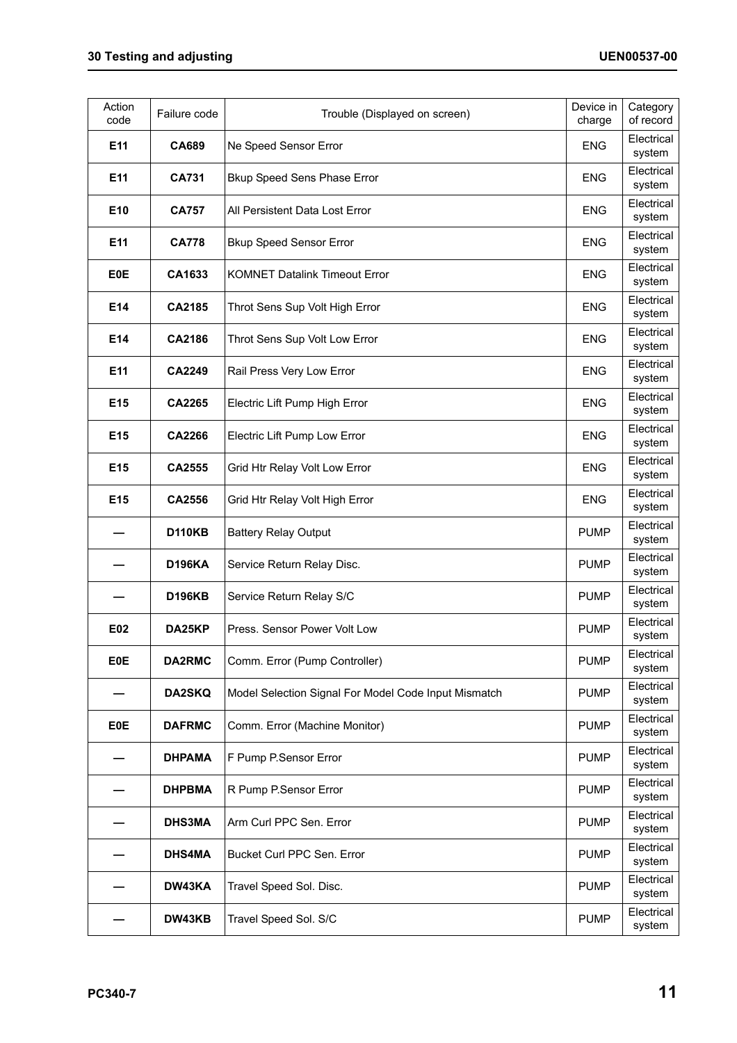| Action<br>code  | Failure code  | Trouble (Displayed on screen)                        | Device in<br>charge | Category<br>of record |
|-----------------|---------------|------------------------------------------------------|---------------------|-----------------------|
| E <sub>11</sub> | <b>CA689</b>  | Ne Speed Sensor Error                                | <b>ENG</b>          | Electrical<br>system  |
| E <sub>11</sub> | <b>CA731</b>  | Bkup Speed Sens Phase Error                          | <b>ENG</b>          | Electrical<br>system  |
| E <sub>10</sub> | <b>CA757</b>  | All Persistent Data Lost Error                       | <b>ENG</b>          | Electrical<br>system  |
| E <sub>11</sub> | <b>CA778</b>  | <b>Bkup Speed Sensor Error</b>                       | <b>ENG</b>          | Electrical<br>system  |
| <b>E0E</b>      | CA1633        | <b>KOMNET Datalink Timeout Error</b>                 | <b>ENG</b>          | Electrical<br>system  |
| E14             | CA2185        | Throt Sens Sup Volt High Error                       | <b>ENG</b>          | Electrical<br>system  |
| E14             | CA2186        | Throt Sens Sup Volt Low Error                        | <b>ENG</b>          | Electrical<br>system  |
| E <sub>11</sub> | <b>CA2249</b> | Rail Press Very Low Error                            | <b>ENG</b>          | Electrical<br>system  |
| E <sub>15</sub> | CA2265        | Electric Lift Pump High Error                        | <b>ENG</b>          | Electrical<br>system  |
| E <sub>15</sub> | CA2266        | Electric Lift Pump Low Error                         | <b>ENG</b>          | Electrical<br>system  |
| E <sub>15</sub> | CA2555        | Grid Htr Relay Volt Low Error                        | <b>ENG</b>          | Electrical<br>system  |
| E <sub>15</sub> | CA2556        | Grid Htr Relay Volt High Error                       | <b>ENG</b>          | Electrical<br>system  |
|                 | <b>D110KB</b> | <b>Battery Relay Output</b>                          | <b>PUMP</b>         | Electrical<br>system  |
|                 | <b>D196KA</b> | Service Return Relay Disc.                           | <b>PUMP</b>         | Electrical<br>system  |
|                 | <b>D196KB</b> | Service Return Relay S/C                             | <b>PUMP</b>         | Electrical<br>system  |
| E02             | DA25KP        | Press. Sensor Power Volt Low                         | <b>PUMP</b>         | Electrical<br>system  |
| <b>E0E</b>      | DA2RMC        | Comm. Error (Pump Controller)                        | <b>PUMP</b>         | Electrical<br>system  |
|                 | <b>DA2SKQ</b> | Model Selection Signal For Model Code Input Mismatch | <b>PUMP</b>         | Electrical<br>system  |
| <b>E0E</b>      | <b>DAFRMC</b> | Comm. Error (Machine Monitor)                        | <b>PUMP</b>         | Electrical<br>system  |
|                 | <b>DHPAMA</b> | F Pump P.Sensor Error                                | <b>PUMP</b>         | Electrical<br>system  |
|                 | <b>DHPBMA</b> | R Pump P.Sensor Error                                | <b>PUMP</b>         | Electrical<br>system  |
|                 | <b>DHS3MA</b> | Arm Curl PPC Sen. Error                              | <b>PUMP</b>         | Electrical<br>system  |
|                 | <b>DHS4MA</b> | Bucket Curl PPC Sen. Error                           | <b>PUMP</b>         | Electrical<br>system  |
|                 | DW43KA        | Travel Speed Sol. Disc.                              | <b>PUMP</b>         | Electrical<br>system  |
|                 | DW43KB        | Travel Speed Sol. S/C                                | <b>PUMP</b>         | Electrical<br>system  |